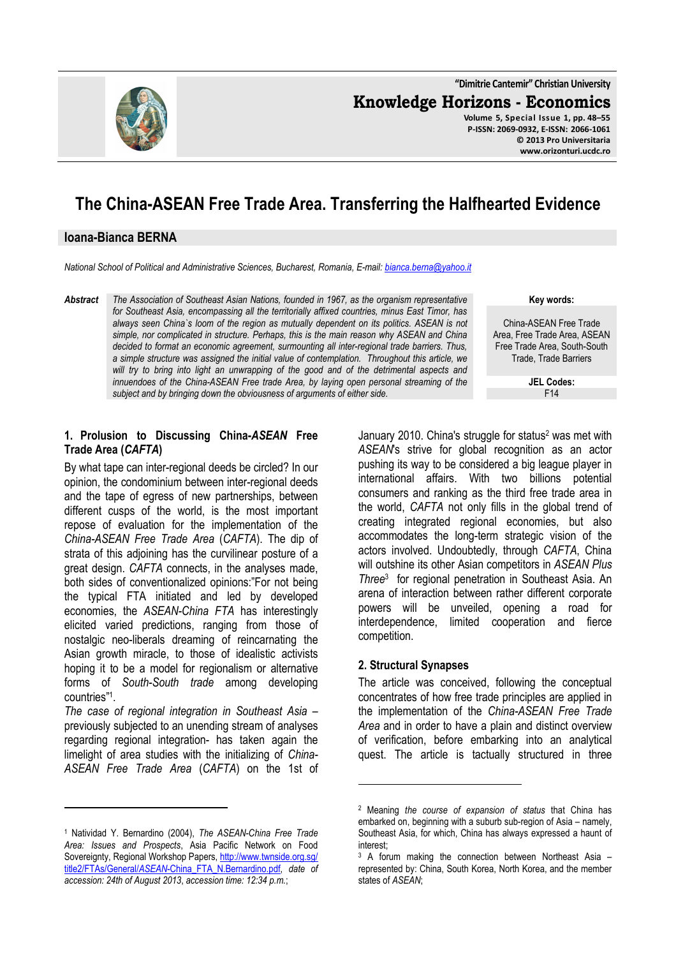

**"Dimitrie Cantemir" Christian University Knowledge Horizons - Economics Volume 5, Special Issue 1, pp. 48–55 P-ISSN: 2069-0932, E-ISSN: 2066-1061 © 2013 Pro Universitaria** 

# **The China-ASEAN Free Trade Area. Transferring the Halfhearted Evidence**

#### **Ioana-Bianca BERNA**

*National School of Political and Administrative Sciences, Bucharest, Romania, E-mail: bianca.berna@yahoo.it*

*Abstract The Association of Southeast Asian Nations, founded in 1967, as the organism representative for Southeast Asia, encompassing all the territorially affixed countries, minus East Timor, has always seen China`s loom of the region as mutually dependent on its politics. ASEAN is not simple, nor complicated in structure. Perhaps, this is the main reason why ASEAN and China decided to format an economic agreement, surmounting all inter-regional trade barriers. Thus, a simple structure was assigned the initial value of contemplation. Throughout this article, we*  will try to bring into light an unwrapping of the good and of the detrimental aspects and *innuendoes of the China-ASEAN Free trade Area, by laying open personal streaming of the subject and by bringing down the obviousness of arguments of either side.* 

**Key words:**

**www.orizonturi.ucdc.ro**

China-ASEAN Free Trade Area, Free Trade Area, ASEAN Free Trade Area, South-South Trade, Trade Barriers

> **JEL Codes:** F14

#### **1. Prolusion to Discussing China-***ASEAN* **Free Trade Area (***CAFTA***)**

By what tape can inter-regional deeds be circled? In our opinion, the condominium between inter-regional deeds and the tape of egress of new partnerships, between different cusps of the world, is the most important repose of evaluation for the implementation of the *China-ASEAN Free Trade Area* (*CAFTA*). The dip of strata of this adjoining has the curvilinear posture of a great design. *CAFTA* connects, in the analyses made, both sides of conventionalized opinions:"For not being the typical FTA initiated and led by developed economies, the *ASEAN-China FTA* has interestingly elicited varied predictions, ranging from those of nostalgic neo-liberals dreaming of reincarnating the Asian growth miracle, to those of idealistic activists hoping it to be a model for regionalism or alternative forms of *South-South trade* among developing countries"<sup>1</sup> .

*The case of regional integration in Southeast Asia* – previously subjected to an unending stream of analyses regarding regional integration- has taken again the limelight of area studies with the initializing of *China-ASEAN Free Trade Area* (*CAFTA*) on the 1st of

 $\overline{a}$ 

January 2010. China's struggle for status<sup>2</sup> was met with *ASEAN*'s strive for global recognition as an actor pushing its way to be considered a big league player in international affairs. With two billions potential consumers and ranking as the third free trade area in the world, *CAFTA* not only fills in the global trend of creating integrated regional economies, but also accommodates the long-term strategic vision of the actors involved. Undoubtedly, through *CAFTA*, China will outshine its other Asian competitors in *ASEAN Plus Three*<sup>3</sup> for regional penetration in Southeast Asia. An arena of interaction between rather different corporate powers will be unveiled, opening a road for interdependence, limited cooperation and fierce competition.

#### **2. Structural Synapses**

l

The article was conceived, following the conceptual concentrates of how free trade principles are applied in the implementation of the *China-ASEAN Free Trade Area* and in order to have a plain and distinct overview of verification, before embarking into an analytical quest. The article is tactually structured in three

<sup>1</sup> Natividad Y. Bernardino (2004), *The ASEAN-China Free Trade Area: Issues and Prospects*, Asia Pacific Network on Food Sovereignty, Regional Workshop Papers, http://www.twnside.org.sg/ title2/FTAs/General/*ASEAN*-China\_FTA\_N.Bernardino.pdf, *date of accession: 24th of August 2013*, *accession time: 12:34 p.m.*;

<sup>2</sup> Meaning *the course of expansion of status* that China has embarked on, beginning with a suburb sub-region of Asia – namely, Southeast Asia, for which, China has always expressed a haunt of interest;

<sup>3</sup> A forum making the connection between Northeast Asia – represented by: China, South Korea, North Korea, and the member states of *ASEAN*;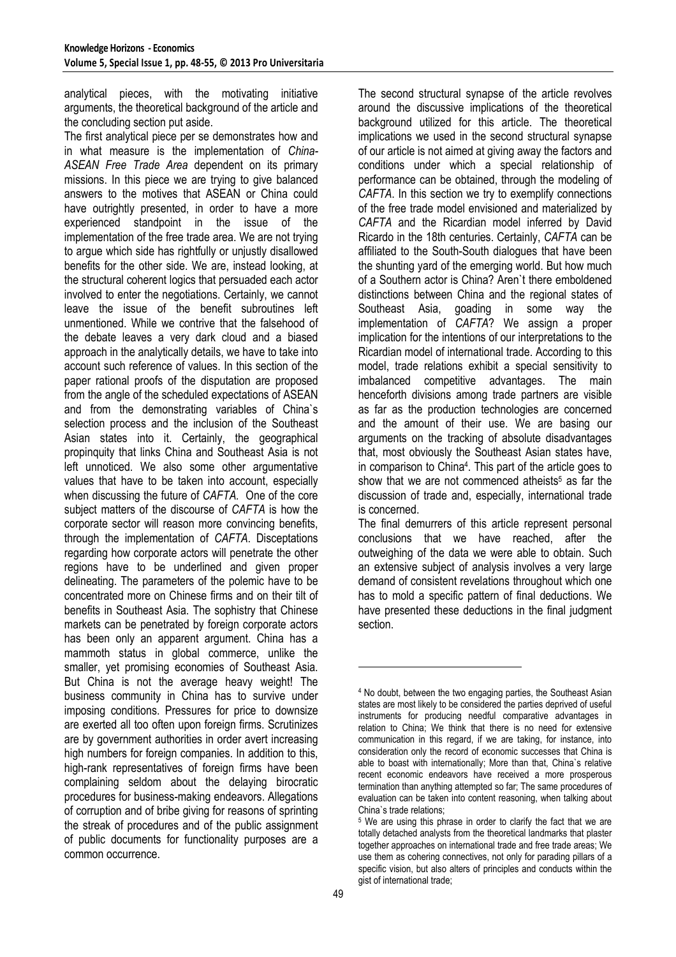analytical pieces, with the motivating initiative arguments, the theoretical background of the article and the concluding section put aside.

The first analytical piece per se demonstrates how and in what measure is the implementation of *China-ASEAN Free Trade Area* dependent on its primary missions. In this piece we are trying to give balanced answers to the motives that ASEAN or China could have outrightly presented, in order to have a more experienced standpoint in the issue of the implementation of the free trade area. We are not trying to argue which side has rightfully or unjustly disallowed benefits for the other side. We are, instead looking, at the structural coherent logics that persuaded each actor involved to enter the negotiations. Certainly, we cannot leave the issue of the benefit subroutines left unmentioned. While we contrive that the falsehood of the debate leaves a very dark cloud and a biased approach in the analytically details, we have to take into account such reference of values. In this section of the paper rational proofs of the disputation are proposed from the angle of the scheduled expectations of ASEAN and from the demonstrating variables of China`s selection process and the inclusion of the Southeast Asian states into it. Certainly, the geographical propinquity that links China and Southeast Asia is not left unnoticed. We also some other argumentative values that have to be taken into account, especially when discussing the future of *CAFTA.* One of the core subject matters of the discourse of *CAFTA* is how the corporate sector will reason more convincing benefits, through the implementation of *CAFTA*. Disceptations regarding how corporate actors will penetrate the other regions have to be underlined and given proper delineating. The parameters of the polemic have to be concentrated more on Chinese firms and on their tilt of benefits in Southeast Asia. The sophistry that Chinese markets can be penetrated by foreign corporate actors has been only an apparent argument. China has a mammoth status in global commerce, unlike the smaller, yet promising economies of Southeast Asia. But China is not the average heavy weight! The business community in China has to survive under imposing conditions. Pressures for price to downsize are exerted all too often upon foreign firms. Scrutinizes are by government authorities in order avert increasing high numbers for foreign companies. In addition to this, high-rank representatives of foreign firms have been complaining seldom about the delaying birocratic procedures for business-making endeavors. Allegations of corruption and of bribe giving for reasons of sprinting the streak of procedures and of the public assignment of public documents for functionality purposes are a common occurrence.

The second structural synapse of the article revolves around the discussive implications of the theoretical background utilized for this article. The theoretical implications we used in the second structural synapse of our article is not aimed at giving away the factors and conditions under which a special relationship of performance can be obtained, through the modeling of *CAFTA*. In this section we try to exemplify connections of the free trade model envisioned and materialized by *CAFTA* and the Ricardian model inferred by David Ricardo in the 18th centuries. Certainly, *CAFTA* can be affiliated to the South-South dialogues that have been the shunting yard of the emerging world. But how much of a Southern actor is China? Aren`t there emboldened distinctions between China and the regional states of Southeast Asia, goading in some way the implementation of *CAFTA*? We assign a proper implication for the intentions of our interpretations to the Ricardian model of international trade. According to this model, trade relations exhibit a special sensitivity to imbalanced competitive advantages. The main henceforth divisions among trade partners are visible as far as the production technologies are concerned and the amount of their use. We are basing our arguments on the tracking of absolute disadvantages that, most obviously the Southeast Asian states have, in comparison to China<sup>4</sup> . This part of the article goes to show that we are not commenced atheists<sup>5</sup> as far the discussion of trade and, especially, international trade is concerned.

The final demurrers of this article represent personal conclusions that we have reached, after the outweighing of the data we were able to obtain. Such an extensive subject of analysis involves a very large demand of consistent revelations throughout which one has to mold a specific pattern of final deductions. We have presented these deductions in the final judgment section.

 $\overline{a}$ 

<sup>4</sup> No doubt, between the two engaging parties, the Southeast Asian states are most likely to be considered the parties deprived of useful instruments for producing needful comparative advantages in relation to China; We think that there is no need for extensive communication in this regard, if we are taking, for instance, into consideration only the record of economic successes that China is able to boast with internationally; More than that, China`s relative recent economic endeavors have received a more prosperous termination than anything attempted so far; The same procedures of evaluation can be taken into content reasoning, when talking about China`s trade relations;

<sup>&</sup>lt;sup>5</sup> We are using this phrase in order to clarify the fact that we are totally detached analysts from the theoretical landmarks that plaster together approaches on international trade and free trade areas; We use them as cohering connectives, not only for parading pillars of a specific vision, but also alters of principles and conducts within the gist of international trade;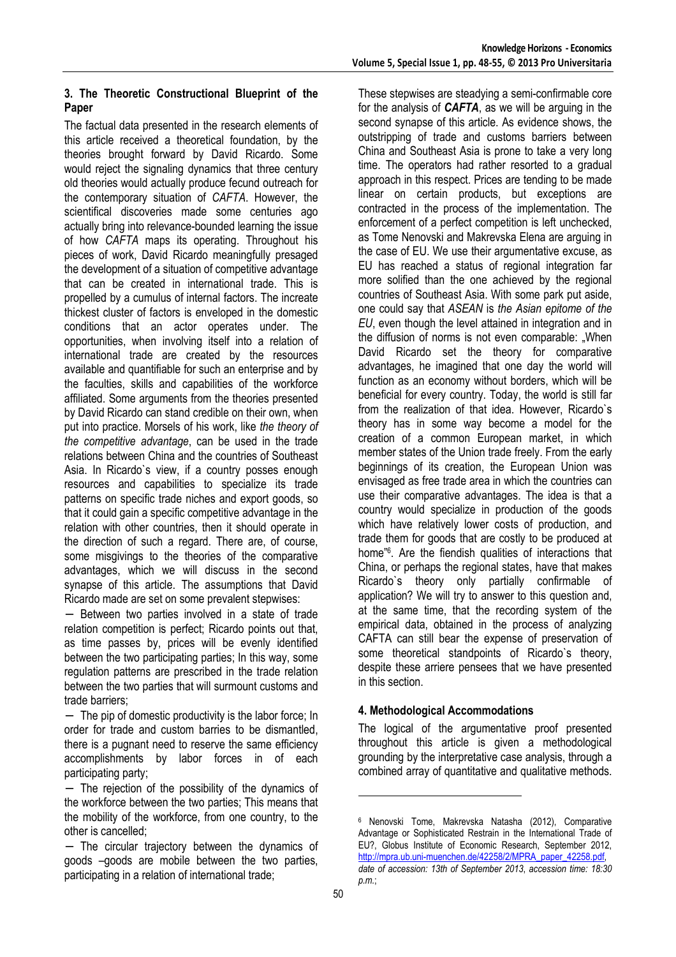## **3. The Theoretic Constructional Blueprint of the Paper**

The factual data presented in the research elements of this article received a theoretical foundation, by the theories brought forward by David Ricardo. Some would reject the signaling dynamics that three century old theories would actually produce fecund outreach for the contemporary situation of *CAFTA*. However, the scientifical discoveries made some centuries ago actually bring into relevance-bounded learning the issue of how *CAFTA* maps its operating. Throughout his pieces of work, David Ricardo meaningfully presaged the development of a situation of competitive advantage that can be created in international trade. This is propelled by a cumulus of internal factors. The increate thickest cluster of factors is enveloped in the domestic conditions that an actor operates under. The opportunities, when involving itself into a relation of international trade are created by the resources available and quantifiable for such an enterprise and by the faculties, skills and capabilities of the workforce affiliated. Some arguments from the theories presented by David Ricardo can stand credible on their own, when put into practice. Morsels of his work, like *the theory of the competitive advantage*, can be used in the trade relations between China and the countries of Southeast Asia. In Ricardo`s view, if a country posses enough resources and capabilities to specialize its trade patterns on specific trade niches and export goods, so that it could gain a specific competitive advantage in the relation with other countries, then it should operate in the direction of such a regard. There are, of course, some misgivings to the theories of the comparative advantages, which we will discuss in the second synapse of this article. The assumptions that David Ricardo made are set on some prevalent stepwises:

− Between two parties involved in a state of trade relation competition is perfect; Ricardo points out that, as time passes by, prices will be evenly identified between the two participating parties; In this way, some regulation patterns are prescribed in the trade relation between the two parties that will surmount customs and trade barriers;

− The pip of domestic productivity is the labor force; In order for trade and custom barries to be dismantled, there is a pugnant need to reserve the same efficiency accomplishments by labor forces in of each participating party;

− The circular trajectory between the dynamics of goods –goods are mobile between the two parties, participating in a relation of international trade;

These stepwises are steadying a semi-confirmable core for the analysis of *CAFTA*, as we will be arguing in the second synapse of this article. As evidence shows, the outstripping of trade and customs barriers between China and Southeast Asia is prone to take a very long time. The operators had rather resorted to a gradual approach in this respect. Prices are tending to be made linear on certain products, but exceptions are contracted in the process of the implementation. The enforcement of a perfect competition is left unchecked, as Tome Nenovski and Makrevska Elena are arguing in the case of EU. We use their argumentative excuse, as EU has reached a status of regional integration far more solified than the one achieved by the regional countries of Southeast Asia. With some park put aside, one could say that *ASEAN* is *the Asian epitome of the EU*, even though the level attained in integration and in the diffusion of norms is not even comparable: "When David Ricardo set the theory for comparative advantages, he imagined that one day the world will function as an economy without borders, which will be beneficial for every country. Today, the world is still far from the realization of that idea. However, Ricardo`s theory has in some way become a model for the creation of a common European market, in which member states of the Union trade freely. From the early beginnings of its creation, the European Union was envisaged as free trade area in which the countries can use their comparative advantages. The idea is that a country would specialize in production of the goods which have relatively lower costs of production, and trade them for goods that are costly to be produced at home"<sup>6</sup> . Are the fiendish qualities of interactions that China, or perhaps the regional states, have that makes Ricardo`s theory only partially confirmable of application? We will try to answer to this question and, at the same time, that the recording system of the empirical data, obtained in the process of analyzing CAFTA can still bear the expense of preservation of some theoretical standpoints of Ricardo`s theory, despite these arriere pensees that we have presented in this section.

# **4. Methodological Accommodations**

The logical of the argumentative proof presented throughout this article is given a methodological grounding by the interpretative case analysis, through a combined array of quantitative and qualitative methods.

l

<sup>−</sup> The rejection of the possibility of the dynamics of the workforce between the two parties; This means that the mobility of the workforce, from one country, to the other is cancelled;

<sup>6</sup> Nenovski Tome, Makrevska Natasha (2012), Comparative Advantage or Sophisticated Restrain in the International Trade of EU?, Globus Institute of Economic Research, September 2012, http://mpra.ub.uni-muenchen.de/42258/2/MPRA\_paper\_42258.pdf, *date of accession: 13th of September 2013*, *accession time: 18:30 p.m.*;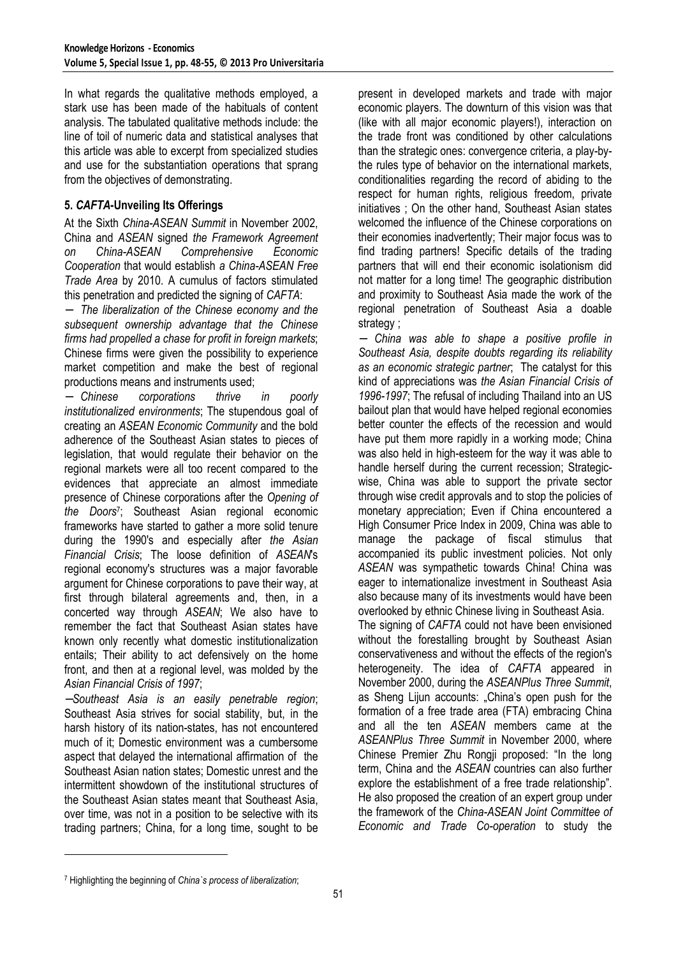In what regards the qualitative methods employed, a stark use has been made of the habituals of content analysis. The tabulated qualitative methods include: the line of toil of numeric data and statistical analyses that this article was able to excerpt from specialized studies and use for the substantiation operations that sprang from the objectives of demonstrating.

# **5.** *CAFTA***-Unveiling Its Offerings**

At the Sixth *China-ASEAN Summit* in November 2002, China and *ASEAN* signed *the Framework Agreement on China-ASEAN Comprehensive Economic Cooperation* that would establish *a China-ASEAN Free Trade Area* by 2010. A cumulus of factors stimulated this penetration and predicted the signing of *CAFTA*:

− *The liberalization of the Chinese economy and the subsequent ownership advantage that the Chinese firms had propelled a chase for profit in foreign markets*; Chinese firms were given the possibility to experience market competition and make the best of regional productions means and instruments used;

− *Chinese corporations thrive in poorly institutionalized environments*; The stupendous goal of creating an *ASEAN Economic Community* and the bold adherence of the Southeast Asian states to pieces of legislation, that would regulate their behavior on the regional markets were all too recent compared to the evidences that appreciate an almost immediate presence of Chinese corporations after the *Opening of the Doors*<sup>7</sup> ; Southeast Asian regional economic frameworks have started to gather a more solid tenure during the 1990's and especially after *the Asian Financial Crisis*; The loose definition of *ASEAN*'s regional economy's structures was a major favorable argument for Chinese corporations to pave their way, at first through bilateral agreements and, then, in a concerted way through *ASEAN*; We also have to remember the fact that Southeast Asian states have known only recently what domestic institutionalization entails; Their ability to act defensively on the home front, and then at a regional level, was molded by the *Asian Financial Crisis of 1997*;

−*Southeast Asia is an easily penetrable region*; Southeast Asia strives for social stability, but, in the harsh history of its nation-states, has not encountered much of it; Domestic environment was a cumbersome aspect that delayed the international affirmation of the Southeast Asian nation states; Domestic unrest and the intermittent showdown of the institutional structures of the Southeast Asian states meant that Southeast Asia, over time, was not in a position to be selective with its trading partners; China, for a long time, sought to be

present in developed markets and trade with major economic players. The downturn of this vision was that (like with all major economic players!), interaction on the trade front was conditioned by other calculations than the strategic ones: convergence criteria, a play-bythe rules type of behavior on the international markets, conditionalities regarding the record of abiding to the respect for human rights, religious freedom, private initiatives ; On the other hand, Southeast Asian states welcomed the influence of the Chinese corporations on their economies inadvertently; Their major focus was to find trading partners! Specific details of the trading partners that will end their economic isolationism did not matter for a long time! The geographic distribution and proximity to Southeast Asia made the work of the regional penetration of Southeast Asia a doable strategy :

− *China was able to shape a positive profile in Southeast Asia, despite doubts regarding its reliability as an economic strategic partner*; The catalyst for this kind of appreciations was *the Asian Financial Crisis of 1996-1997*; The refusal of including Thailand into an US bailout plan that would have helped regional economies better counter the effects of the recession and would have put them more rapidly in a working mode; China was also held in high-esteem for the way it was able to handle herself during the current recession: Strategicwise, China was able to support the private sector through wise credit approvals and to stop the policies of monetary appreciation; Even if China encountered a High Consumer Price Index in 2009, China was able to manage the package of fiscal stimulus that accompanied its public investment policies. Not only *ASEAN* was sympathetic towards China! China was eager to internationalize investment in Southeast Asia also because many of its investments would have been overlooked by ethnic Chinese living in Southeast Asia.

The signing of *CAFTA* could not have been envisioned without the forestalling brought by Southeast Asian conservativeness and without the effects of the region's heterogeneity. The idea of *CAFTA* appeared in November 2000, during the *ASEANPlus Three Summit*, as Sheng Lijun accounts: "China's open push for the formation of a free trade area (FTA) embracing China and all the ten *ASEAN* members came at the *ASEANPlus Three Summit* in November 2000, where Chinese Premier Zhu Rongji proposed: "In the long term, China and the *ASEAN* countries can also further explore the establishment of a free trade relationship". He also proposed the creation of an expert group under the framework of the *China-ASEAN Joint Committee of Economic and Trade Co-operation* to study the

 $\overline{a}$ 

<sup>7</sup> Highlighting the beginning of *China`s process of liberalization*;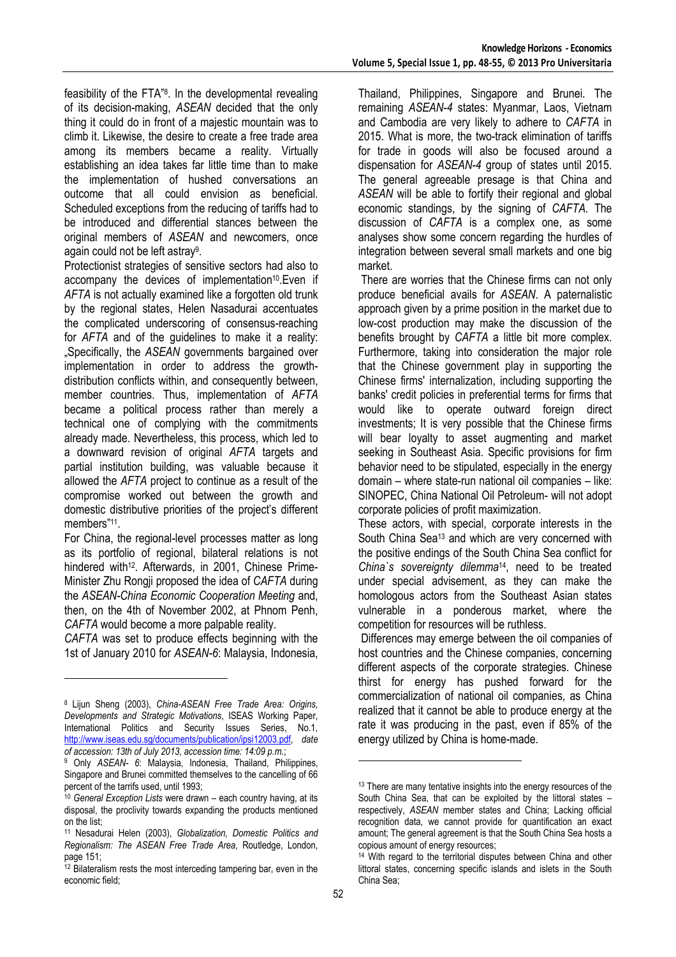feasibility of the FTA"<sup>8</sup> . In the developmental revealing of its decision-making, *ASEAN* decided that the only thing it could do in front of a majestic mountain was to climb it. Likewise, the desire to create a free trade area among its members became a reality. Virtually establishing an idea takes far little time than to make the implementation of hushed conversations an outcome that all could envision as beneficial. Scheduled exceptions from the reducing of tariffs had to be introduced and differential stances between the original members of *ASEAN* and newcomers, once again could not be left astray<sup>9</sup>.

Protectionist strategies of sensitive sectors had also to accompany the devices of implementation<sup>10</sup>.Even if *AFTA* is not actually examined like a forgotten old trunk by the regional states, Helen Nasadurai accentuates the complicated underscoring of consensus-reaching for *AFTA* and of the guidelines to make it a reality: "Specifically, the *ASEAN* governments bargained over implementation in order to address the growthdistribution conflicts within, and consequently between, member countries. Thus, implementation of *AFTA* became a political process rather than merely a technical one of complying with the commitments already made. Nevertheless, this process, which led to a downward revision of original *AFTA* targets and partial institution building, was valuable because it allowed the *AFTA* project to continue as a result of the compromise worked out between the growth and domestic distributive priorities of the project's different members"<sup>11</sup>.

For China, the regional-level processes matter as long as its portfolio of regional, bilateral relations is not hindered with<sup>12</sup>. Afterwards, in 2001, Chinese Prime-Minister Zhu Rongji proposed the idea of *CAFTA* during the *ASEAN-China Economic Cooperation Meeting* and, then, on the 4th of November 2002, at Phnom Penh, *CAFTA* would become a more palpable reality.

*CAFTA* was set to produce effects beginning with the 1st of January 2010 for *ASEAN-6*: Malaysia, Indonesia,

l

Thailand, Philippines, Singapore and Brunei. The remaining *ASEAN-4* states: Myanmar, Laos, Vietnam and Cambodia are very likely to adhere to *CAFTA* in 2015. What is more, the two-track elimination of tariffs for trade in goods will also be focused around a dispensation for *ASEAN-4* group of states until 2015. The general agreeable presage is that China and *ASEAN* will be able to fortify their regional and global economic standings, by the signing of *CAFTA*. The discussion of *CAFTA* is a complex one, as some analyses show some concern regarding the hurdles of integration between several small markets and one big market.

 There are worries that the Chinese firms can not only produce beneficial avails for *ASEAN*. A paternalistic approach given by a prime position in the market due to low-cost production may make the discussion of the benefits brought by *CAFTA* a little bit more complex. Furthermore, taking into consideration the major role that the Chinese government play in supporting the Chinese firms' internalization, including supporting the banks' credit policies in preferential terms for firms that would like to operate outward foreign direct investments; It is very possible that the Chinese firms will bear loyalty to asset augmenting and market seeking in Southeast Asia. Specific provisions for firm behavior need to be stipulated, especially in the energy domain – where state-run national oil companies – like: SINOPEC, China National Oil Petroleum- will not adopt corporate policies of profit maximization.

These actors, with special, corporate interests in the South China Sea<sup>13</sup> and which are very concerned with the positive endings of the South China Sea conflict for *China`s sovereignty dilemma*14, need to be treated under special advisement, as they can make the homologous actors from the Southeast Asian states vulnerable in a ponderous market, where the competition for resources will be ruthless.

 Differences may emerge between the oil companies of host countries and the Chinese companies, concerning different aspects of the corporate strategies. Chinese thirst for energy has pushed forward for the commercialization of national oil companies, as China realized that it cannot be able to produce energy at the rate it was producing in the past, even if 85% of the energy utilized by China is home-made.

l

<sup>8</sup> Lijun Sheng (2003), *China-ASEAN Free Trade Area: Origins, Developments and Strategic Motivations*, ISEAS Working Paper, International Politics and Security Issues Series, No.1, http://www.iseas.edu.sg/documents/publication/ipsi12003.pdf, *date of accession: 13th of July 2013*, *accession time: 14:09 p.m.*;

<sup>9</sup> Only *ASEAN- 6*: Malaysia, Indonesia, Thailand, Philippines, Singapore and Brunei committed themselves to the cancelling of 66 percent of the tarrifs used, until 1993;

<sup>10</sup> *General Exception Lists* were drawn – each country having, at its disposal, the proclivity towards expanding the products mentioned on the list;

<sup>11</sup> Nesadurai Helen (2003), *Globalization, Domestic Politics and Regionalism: The ASEAN Free Trade Area*, Routledge, London, page 151;

 $12$  Bilateralism rests the most interceding tampering bar, even in the economic field;

<sup>&</sup>lt;sup>13</sup> There are many tentative insights into the energy resources of the South China Sea, that can be exploited by the littoral states – respectively, *ASEAN* member states and China; Lacking official recognition data, we cannot provide for quantification an exact amount; The general agreement is that the South China Sea hosts a copious amount of energy resources;

<sup>&</sup>lt;sup>14</sup> With regard to the territorial disputes between China and other littoral states, concerning specific islands and islets in the South China Sea;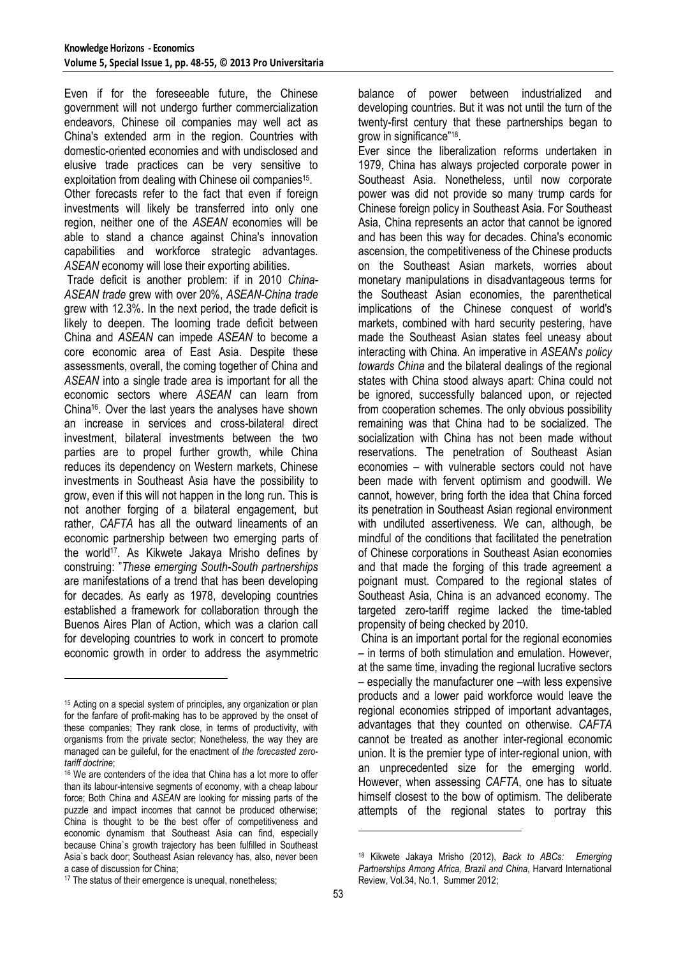Even if for the foreseeable future, the Chinese government will not undergo further commercialization endeavors, Chinese oil companies may well act as China's extended arm in the region. Countries with domestic-oriented economies and with undisclosed and elusive trade practices can be very sensitive to exploitation from dealing with Chinese oil companies<sup>15</sup>.

Other forecasts refer to the fact that even if foreign investments will likely be transferred into only one region, neither one of the *ASEAN* economies will be able to stand a chance against China's innovation capabilities and workforce strategic advantages. *ASEAN* economy will lose their exporting abilities.

 Trade deficit is another problem: if in 2010 *China-ASEAN trade* grew with over 20%, *ASEAN-China trade*  grew with 12.3%. In the next period, the trade deficit is likely to deepen. The looming trade deficit between China and *ASEAN* can impede *ASEAN* to become a core economic area of East Asia. Despite these assessments, overall, the coming together of China and *ASEAN* into a single trade area is important for all the economic sectors where *ASEAN* can learn from China16. Over the last years the analyses have shown an increase in services and cross-bilateral direct investment, bilateral investments between the two parties are to propel further growth, while China reduces its dependency on Western markets, Chinese investments in Southeast Asia have the possibility to grow, even if this will not happen in the long run. This is not another forging of a bilateral engagement, but rather, *CAFTA* has all the outward lineaments of an economic partnership between two emerging parts of the world17. As Kikwete Jakaya Mrisho defines by construing: "*These emerging South-South partnerships* are manifestations of a trend that has been developing for decades. As early as 1978, developing countries established a framework for collaboration through the Buenos Aires Plan of Action, which was a clarion call for developing countries to work in concert to promote economic growth in order to address the asymmetric

l

balance of power between industrialized and developing countries. But it was not until the turn of the twenty-first century that these partnerships began to grow in significance"<sup>18</sup>.

Ever since the liberalization reforms undertaken in 1979, China has always projected corporate power in Southeast Asia. Nonetheless, until now corporate power was did not provide so many trump cards for Chinese foreign policy in Southeast Asia. For Southeast Asia, China represents an actor that cannot be ignored and has been this way for decades. China's economic ascension, the competitiveness of the Chinese products on the Southeast Asian markets, worries about monetary manipulations in disadvantageous terms for the Southeast Asian economies, the parenthetical implications of the Chinese conquest of world's markets, combined with hard security pestering, have made the Southeast Asian states feel uneasy about interacting with China. An imperative in *ASEAN*'*s policy towards China* and the bilateral dealings of the regional states with China stood always apart: China could not be ignored, successfully balanced upon, or rejected from cooperation schemes. The only obvious possibility remaining was that China had to be socialized. The socialization with China has not been made without reservations. The penetration of Southeast Asian economies – with vulnerable sectors could not have been made with fervent optimism and goodwill. We cannot, however, bring forth the idea that China forced its penetration in Southeast Asian regional environment with undiluted assertiveness. We can, although, be mindful of the conditions that facilitated the penetration of Chinese corporations in Southeast Asian economies and that made the forging of this trade agreement a poignant must. Compared to the regional states of Southeast Asia, China is an advanced economy. The targeted zero-tariff regime lacked the time-tabled propensity of being checked by 2010.

 China is an important portal for the regional economies – in terms of both stimulation and emulation. However, at the same time, invading the regional lucrative sectors – especially the manufacturer one –with less expensive products and a lower paid workforce would leave the regional economies stripped of important advantages, advantages that they counted on otherwise. *CAFTA* cannot be treated as another inter-regional economic union. It is the premier type of inter-regional union, with an unprecedented size for the emerging world. However, when assessing *CAFTA*, one has to situate himself closest to the bow of optimism. The deliberate attempts of the regional states to portray this

 $\overline{a}$ 

<sup>15</sup> Acting on a special system of principles, any organization or plan for the fanfare of profit-making has to be approved by the onset of these companies; They rank close, in terms of productivity, with organisms from the private sector; Nonetheless, the way they are managed can be guileful, for the enactment of *the forecasted zerotariff doctrine*;

<sup>16</sup> We are contenders of the idea that China has a lot more to offer than its labour-intensive segments of economy, with a cheap labour force; Both China and *ASEAN* are looking for missing parts of the puzzle and impact incomes that cannot be produced otherwise; China is thought to be the best offer of competitiveness and economic dynamism that Southeast Asia can find, especially because China`s growth trajectory has been fulfilled in Southeast Asia`s back door; Southeast Asian relevancy has, also, never been a case of discussion for China;

<sup>18</sup> Kikwete Jakaya Mrisho (2012), *Back to ABCs: Emerging Partnerships Among Africa, Brazil and China*, Harvard International Review, Vol.34, No.1, Summer 2012;

<sup>&</sup>lt;sup>17</sup> The status of their emergence is unequal, nonetheless: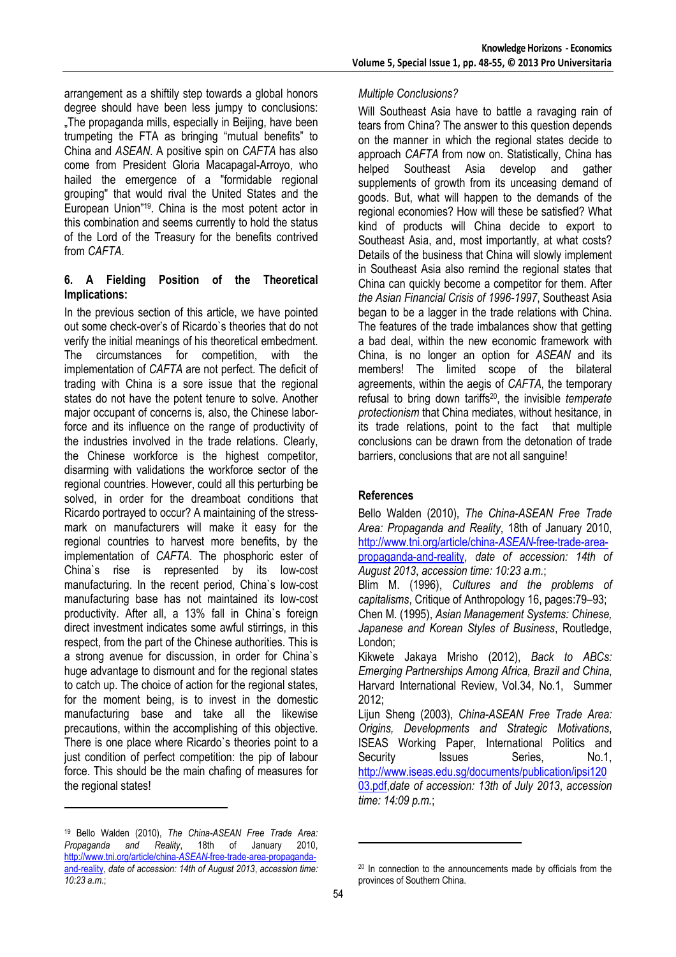arrangement as a shiftily step towards a global honors degree should have been less jumpy to conclusions: "The propaganda mills, especially in Beijing, have been trumpeting the FTA as bringing "mutual benefits" to China and *ASEAN*. A positive spin on *CAFTA* has also come from President Gloria Macapagal-Arroyo, who hailed the emergence of a "formidable regional grouping" that would rival the United States and the European Union"19. China is the most potent actor in this combination and seems currently to hold the status of the Lord of the Treasury for the benefits contrived from *CAFTA*.

## **6. A Fielding Position of the Theoretical Implications:**

In the previous section of this article, we have pointed out some check-over's of Ricardo`s theories that do not verify the initial meanings of his theoretical embedment. The circumstances for competition, with the implementation of *CAFTA* are not perfect. The deficit of trading with China is a sore issue that the regional states do not have the potent tenure to solve. Another major occupant of concerns is, also, the Chinese laborforce and its influence on the range of productivity of the industries involved in the trade relations. Clearly, the Chinese workforce is the highest competitor, disarming with validations the workforce sector of the regional countries. However, could all this perturbing be solved, in order for the dreamboat conditions that Ricardo portrayed to occur? A maintaining of the stressmark on manufacturers will make it easy for the regional countries to harvest more benefits, by the implementation of *CAFTA*. The phosphoric ester of China`s rise is represented by its low-cost manufacturing. In the recent period, China`s low-cost manufacturing base has not maintained its low-cost productivity. After all, a 13% fall in China`s foreign direct investment indicates some awful stirrings, in this respect, from the part of the Chinese authorities. This is a strong avenue for discussion, in order for China`s huge advantage to dismount and for the regional states to catch up. The choice of action for the regional states, for the moment being, is to invest in the domestic manufacturing base and take all the likewise precautions, within the accomplishing of this objective. There is one place where Ricardo`s theories point to a just condition of perfect competition: the pip of labour force. This should be the main chafing of measures for the regional states!

 $\overline{a}$ 

## *Multiple Conclusions?*

Will Southeast Asia have to battle a ravaging rain of tears from China? The answer to this question depends on the manner in which the regional states decide to approach *CAFTA* from now on. Statistically, China has helped Southeast Asia develop and gather supplements of growth from its unceasing demand of goods. But, what will happen to the demands of the regional economies? How will these be satisfied? What kind of products will China decide to export to Southeast Asia, and, most importantly, at what costs? Details of the business that China will slowly implement in Southeast Asia also remind the regional states that China can quickly become a competitor for them. After *the Asian Financial Crisis of 1996-1997*, Southeast Asia began to be a lagger in the trade relations with China. The features of the trade imbalances show that getting a bad deal, within the new economic framework with China, is no longer an option for *ASEAN* and its members! The limited scope of the bilateral agreements, within the aegis of *CAFTA*, the temporary refusal to bring down tariffs20, the invisible *temperate protectionism* that China mediates, without hesitance, in its trade relations, point to the fact that multiple conclusions can be drawn from the detonation of trade barriers, conclusions that are not all sanguine!

## **References**

Bello Walden (2010), *The China-ASEAN Free Trade Area: Propaganda and Reality*, 18th of January 2010, http://www.tni.org/article/china-*ASEAN*-free-trade-areapropaganda-and-reality, *date of accession: 14th of August 2013*, *accession time: 10:23 a.m.*; Blim M. (1996), *Cultures and the problems of capitalisms*, Critique of Anthropology 16, pages:79–93; Chen M. (1995), *Asian Management Systems: Chinese, Japanese and Korean Styles of Business*, Routledge, London; Kikwete Jakaya Mrisho (2012), *Back to ABCs: Emerging Partnerships Among Africa, Brazil and China*, Harvard International Review, Vol.34, No.1, Summer 2012; Lijun Sheng (2003), *China-ASEAN Free Trade Area: Origins, Developments and Strategic Motivations*, ISEAS Working Paper, International Politics and

http://www.iseas.edu.sg/documents/publication/ipsi120 03.pdf,*date of accession: 13th of July 2013*, *accession time: 14:09 p.m.*;

Security Issues Series, No.1,

l

<sup>19</sup> Bello Walden (2010), *The China-ASEAN Free Trade Area: Propaganda and Reality*, 18th of January 2010, http://www.tni.org/article/china-*ASEAN*-free-trade-area-propagandaand-reality, *date of accession: 14th of August 2013*, *accession time: 10:23 a.m.*;

<sup>&</sup>lt;sup>20</sup> In connection to the announcements made by officials from the provinces of Southern China.